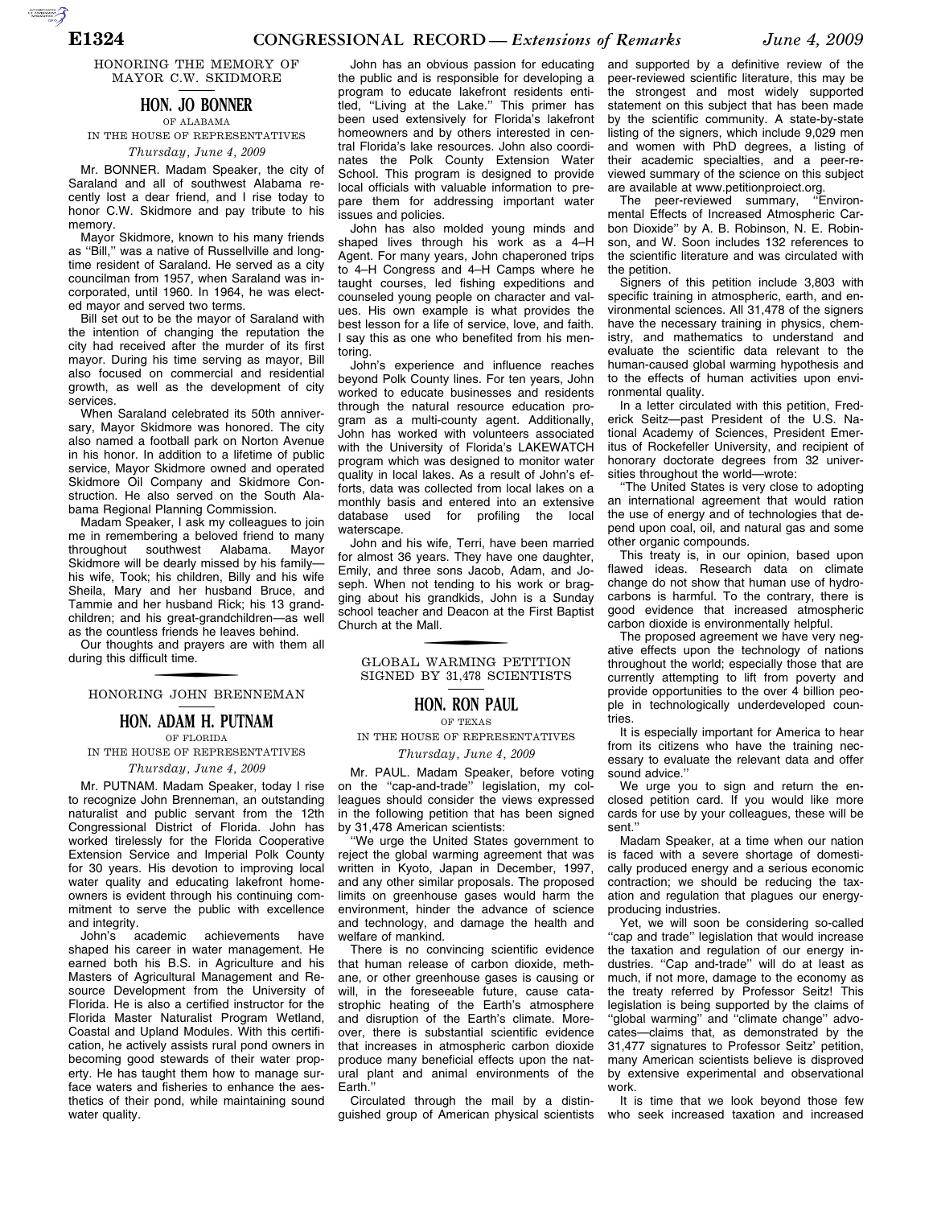AUTOROTOMICALE

HONORING THE MEMORY OF MAYOR C.W. SKIDMORE

### **HON. JO BONNER** OF ALABAMA

IN THE HOUSE OF REPRESENTATIVES *Thursday, June 4, 2009* 

Mr. BONNER. Madam Speaker, the city of Saraland and all of southwest Alabama recently lost a dear friend, and I rise today to honor C.W. Skidmore and pay tribute to his memory.

Mayor Skidmore, known to his many friends as ''Bill,'' was a native of Russellville and longtime resident of Saraland. He served as a city councilman from 1957, when Saraland was incorporated, until 1960. In 1964, he was elected mayor and served two terms.

Bill set out to be the mayor of Saraland with the intention of changing the reputation the city had received after the murder of its first mayor. During his time serving as mayor, Bill also focused on commercial and residential growth, as well as the development of city services.

When Saraland celebrated its 50th anniversary, Mayor Skidmore was honored. The city also named a football park on Norton Avenue in his honor. In addition to a lifetime of public service, Mayor Skidmore owned and operated Skidmore Oil Company and Skidmore Construction. He also served on the South Alabama Regional Planning Commission.

Madam Speaker, I ask my colleagues to join me in remembering a beloved friend to many throughout southwest Alabama. Mayor Skidmore will be dearly missed by his family his wife, Took; his children, Billy and his wife Sheila, Mary and her husband Bruce, and Tammie and her husband Rick; his 13 grandchildren; and his great-grandchildren—as well as the countless friends he leaves behind.

Our thoughts and prayers are with them all during this difficult time.

# f HONORING JOHN BRENNEMAN

### **HON. ADAM H. PUTNAM** OF FLORIDA

IN THE HOUSE OF REPRESENTATIVES

*Thursday, June 4, 2009* 

Mr. PUTNAM. Madam Speaker, today I rise to recognize John Brenneman, an outstanding naturalist and public servant from the 12th Congressional District of Florida. John has worked tirelessly for the Florida Cooperative Extension Service and Imperial Polk County for 30 years. His devotion to improving local water quality and educating lakefront homeowners is evident through his continuing commitment to serve the public with excellence and integrity.<br>John's academic

achievements have shaped his career in water management. He earned both his B.S. in Agriculture and his Masters of Agricultural Management and Resource Development from the University of Florida. He is also a certified instructor for the Florida Master Naturalist Program Wetland, Coastal and Upland Modules. With this certification, he actively assists rural pond owners in becoming good stewards of their water property. He has taught them how to manage surface waters and fisheries to enhance the aesthetics of their pond, while maintaining sound water quality.

John has an obvious passion for educating the public and is responsible for developing a program to educate lakefront residents entitled, ''Living at the Lake.'' This primer has been used extensively for Florida's lakefront homeowners and by others interested in central Florida's lake resources. John also coordinates the Polk County Extension Water School. This program is designed to provide local officials with valuable information to prepare them for addressing important water issues and policies.

John has also molded young minds and shaped lives through his work as a 4–H Agent. For many years, John chaperoned trips to 4–H Congress and 4–H Camps where he taught courses, led fishing expeditions and counseled young people on character and values. His own example is what provides the best lesson for a life of service, love, and faith. I say this as one who benefited from his mentoring.

John's experience and influence reaches beyond Polk County lines. For ten years, John worked to educate businesses and residents through the natural resource education program as a multi-county agent. Additionally, John has worked with volunteers associated with the University of Florida's LAKEWATCH program which was designed to monitor water quality in local lakes. As a result of John's efforts, data was collected from local lakes on a monthly basis and entered into an extensive database used for profiling the local waterscape.

John and his wife, Terri, have been married for almost 36 years. They have one daughter, Emily, and three sons Jacob, Adam, and Joseph. When not tending to his work or bragging about his grandkids, John is a Sunday school teacher and Deacon at the First Baptist Church at the Mall.

f GLOBAL WARMING PETITION SIGNED BY 31,478 SCIENTISTS

### **HON. RON PAUL**

#### OF TEXAS

IN THE HOUSE OF REPRESENTATIVES

*Thursday, June 4, 2009* 

Mr. PAUL. Madam Speaker, before voting on the "cap-and-trade" legislation, my colleagues should consider the views expressed in the following petition that has been signed by 31,478 American scientists:

''We urge the United States government to reject the global warming agreement that was written in Kyoto, Japan in December, 1997, and any other similar proposals. The proposed limits on greenhouse gases would harm the environment, hinder the advance of science and technology, and damage the health and welfare of mankind.

There is no convincing scientific evidence that human release of carbon dioxide, methane, or other greenhouse gases is causing or will, in the foreseeable future, cause catastrophic heating of the Earth's atmosphere and disruption of the Earth's climate. Moreover, there is substantial scientific evidence that increases in atmospheric carbon dioxide produce many beneficial effects upon the natural plant and animal environments of the Earth.''

Circulated through the mail by a distinguished group of American physical scientists

and supported by a definitive review of the peer-reviewed scientific literature, this may be the strongest and most widely supported statement on this subject that has been made by the scientific community. A state-by-state listing of the signers, which include 9,029 men and women with PhD degrees, a listing of their academic specialties, and a peer-reviewed summary of the science on this subject are available at www.petitionproiect.org.

The peer-reviewed summary, ''Environmental Effects of Increased Atmospheric Carbon Dioxide'' by A. B. Robinson, N. E. Robinson, and W. Soon includes 132 references to the scientific literature and was circulated with the petition.

Signers of this petition include 3,803 with specific training in atmospheric, earth, and environmental sciences. All 31,478 of the signers have the necessary training in physics, chemistry, and mathematics to understand and evaluate the scientific data relevant to the human-caused global warming hypothesis and to the effects of human activities upon environmental quality.

In a letter circulated with this petition, Frederick Seitz—past President of the U.S. National Academy of Sciences, President Emeritus of Rockefeller University, and recipient of honorary doctorate degrees from 32 universities throughout the world—wrote:

''The United States is very close to adopting an international agreement that would ration the use of energy and of technologies that depend upon coal, oil, and natural gas and some other organic compounds.

This treaty is, in our opinion, based upon flawed ideas. Research data on climate change do not show that human use of hydrocarbons is harmful. To the contrary, there is good evidence that increased atmospheric carbon dioxide is environmentally helpful.

The proposed agreement we have very negative effects upon the technology of nations throughout the world; especially those that are currently attempting to lift from poverty and provide opportunities to the over 4 billion people in technologically underdeveloped countries.

It is especially important for America to hear from its citizens who have the training necessary to evaluate the relevant data and offer sound advice.''

We urge you to sign and return the enclosed petition card. If you would like more cards for use by your colleagues, these will be sent.''

Madam Speaker, at a time when our nation is faced with a severe shortage of domestically produced energy and a serious economic contraction; we should be reducing the taxation and regulation that plagues our energyproducing industries.

Yet, we will soon be considering so-called ''cap and trade'' legislation that would increase the taxation and regulation of our energy industries. ''Cap and-trade'' will do at least as much, if not more, damage to the economy as the treaty referred by Professor Seitz! This legislation is being supported by the claims of ''global warming'' and ''climate change'' advocates—claims that, as demonstrated by the 31,477 signatures to Professor Seitz' petition, many American scientists believe is disproved by extensive experimental and observational work.

It is time that we look beyond those few who seek increased taxation and increased